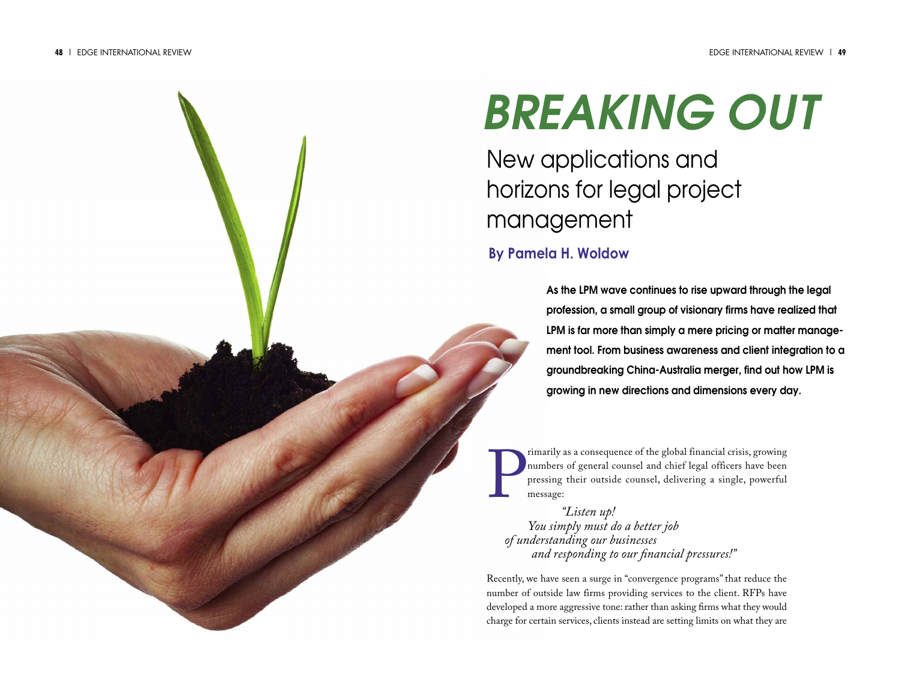# *BREAKING OUT*

New applications and horizons for legal project management

### **By Pamela H. Woldow**

**As the LPM wave continues to rise upward through the legal profession, a small group of visionary firms have realized that LPM is far more than simply a mere pricing or matter management tool. From business awareness and client integration to a groundbreaking China-Australia merger, find out how LPM is growing in new directions and dimensions every day.**

P rimarily as a consequence of the global financial crisis, growing numbers of general counsel and chief legal officers have been pressing their outside counsel, delivering a single, powerful message:

*"Listen up! You simply must do a better job of understanding our businesses and responding to our financial pressures!"*

Recently, we have seen a surge in "convergence programs" that reduce the number of outside law firms providing services to the client. RFPs have developed a more aggressive tone: rather than asking firms what they would charge for certain services, clients instead are setting limits on what they are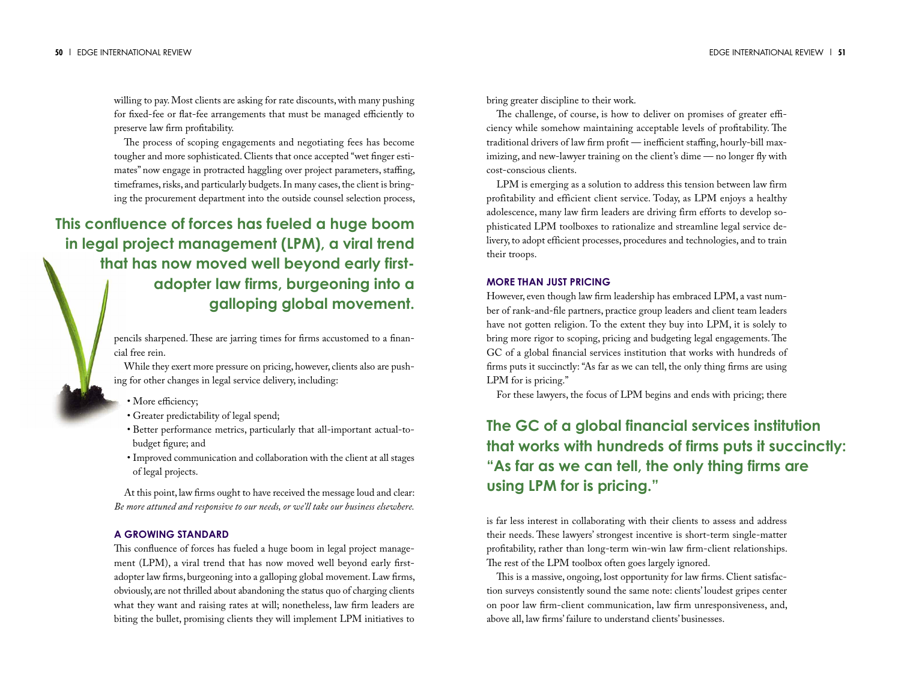willing to pay. Most clients are asking for rate discounts, with many pushing for fixed-fee or flat-fee arrangements that must be managed efficiently to preserve law firm profitability.

The process of scoping engagements and negotiating fees has become tougher and more sophisticated. Clients that once accepted "wet finger estimates" now engage in protracted haggling over project parameters, staffing, timeframes, risks, and particularly budgets. In many cases, the client is bringing the procurement department into the outside counsel selection process,

**This confluence of forces has fueled a huge boom in legal project management (LPM), a viral trend that has now moved well beyond early firstadopter law firms, burgeoning into a galloping global movement.**

> pencils sharpened. These are jarring times for firms accustomed to a financial free rein.

> While they exert more pressure on pricing, however, clients also are pushing for other changes in legal service delivery, including:

- More efficiency;
- Greater predictability of legal spend;
- Better performance metrics, particularly that all-important actual-tobudget figure; and
- Improved communication and collaboration with the client at all stages of legal projects.

At this point, law firms ought to have received the message loud and clear: *Be more attuned and responsive to our needs,or we'll take our business elsewhere.*

#### **A GROWING STANDARD**

This confluence of forces has fueled a huge boom in legal project management (LPM), a viral trend that has now moved well beyond early firstadopter law firms, burgeoning into a galloping global movement.Law firms, obviously, are not thrilled about abandoning the status quo of charging clients what they want and raising rates at will; nonetheless, law firm leaders are biting the bullet, promising clients they will implement LPM initiatives to

bring greater discipline to their work.

The challenge, of course, is how to deliver on promises of greater efficiency while somehow maintaining acceptable levels of profitability. The traditional drivers of law firm profit — inefficient staffing, hourly-bill maximizing, and new-lawyer training on the client's dime — no longer fly with cost-conscious clients.

LPM is emerging as a solution to address this tension between law firm profitability and efficient client service. Today, as LPM enjoys a healthy adolescence, many law firm leaders are driving firm efforts to develop sophisticated LPM toolboxes to rationalize and streamline legal service delivery,to adopt efficient processes, procedures and technologies, and to train their troops.

#### **MORE THAN JUST PRICING**

However, even though law firm leadership has embraced LPM, a vast number of rank-and-file partners, practice group leaders and client team leaders have not gotten religion. To the extent they buy into LPM, it is solely to bring more rigor to scoping, pricing and budgeting legal engagements.The GC of a global financial services institution that works with hundreds of firms puts it succinctly: "As far as we can tell, the only thing firms are using LPM for is pricing."

For these lawyers, the focus of LPM begins and ends with pricing; there

## **The GC of a global financial services institution that works with hundreds of firms puts it succinctly: "As far as we can tell, the only thing firms are using LPM for is pricing."**

is far less interest in collaborating with their clients to assess and address their needs. These lawyers' strongest incentive is short-term single-matter profitability, rather than long-term win-win law firm-client relationships. The rest of the LPM toolbox often goes largely ignored.

This is a massive, ongoing, lost opportunity for law firms. Client satisfaction surveys consistently sound the same note: clients' loudest gripes center on poor law firm-client communication, law firm unresponsiveness, and, above all, law firms'failure to understand clients' businesses.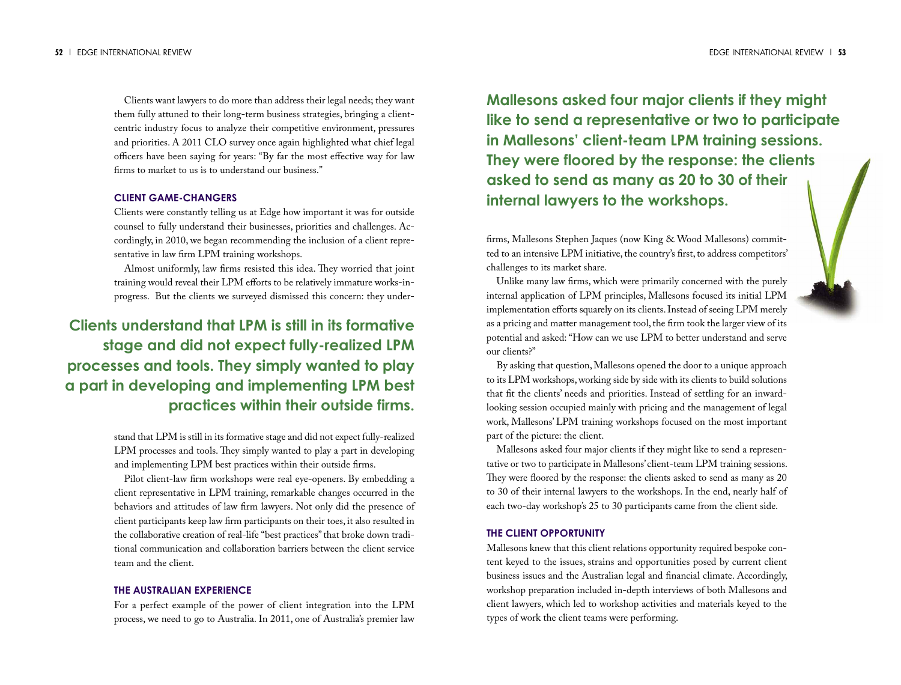Clients want lawyers to do more than address their legal needs; they want them fully attuned to their long-term business strategies, bringing a clientcentric industry focus to analyze their competitive environment, pressures and priorities. A 2011 CLO survey once again highlighted what chief legal officers have been saying for years: "By far the most effective way for law firms to market to us is to understand our business."

#### **CLIENT GAME-CHANGERS**

Clients were constantly telling us at Edge how important it was for outside counsel to fully understand their businesses, priorities and challenges. Accordingly, in 2010, we began recommending the inclusion of a client representative in law firm LPM training workshops.

Almost uniformly, law firms resisted this idea. They worried that joint training would reveal their LPM efforts to be relatively immature works-inprogress. But the clients we surveyed dismissed this concern: they under-

## **Clients understand that LPM is still in its formative stage and did not expect fully-realized LPM processes and tools. They simply wanted to play a part in developing and implementing LPM best practices within their outside firms.**

stand that LPM is still in its formative stage and did not expect fully-realized LPM processes and tools. They simply wanted to play a part in developing and implementing LPM best practices within their outside firms.

Pilot client-law firm workshops were real eye-openers. By embedding a client representative in LPM training, remarkable changes occurred in the behaviors and attitudes of law firm lawyers. Not only did the presence of client participants keep law firm participants on their toes, it also resulted in the collaborative creation of real-life "best practices" that broke down traditional communication and collaboration barriers between the client service team and the client.

#### **THE AUSTRALIAN EXPERIENCE**

For a perfect example of the power of client integration into the LPM process, we need to go to Australia. In 2011, one of Australia's premier law

**Mallesons asked four major clients if they might like to send a representative or two to participate in Mallesons' client-team LPM training sessions. They were floored by the response: the clients asked to send as many as 20 to 30 of their internal lawyers to the workshops.**

firms, Mallesons Stephen Jaques (now King & Wood Mallesons) committed to an intensive LPM initiative, the country's first, to address competitors' challenges to its market share.

Unlike many law firms, which were primarily concerned with the purely internal application of LPM principles, Mallesons focused its initial LPM implementation efforts squarely on its clients. Instead of seeing LPM merely as a pricing and matter management tool, the firm took the larger view of its potential and asked: "How can we use LPM to better understand and serve our clients?"

By asking that question,Mallesons opened the door to a unique approach to its LPM workshops,working side by side with its clients to build solutions that fit the clients' needs and priorities. Instead of settling for an inwardlooking session occupied mainly with pricing and the management of legal work, Mallesons' LPM training workshops focused on the most important part of the picture: the client.

Mallesons asked four major clients if they might like to send a representative or two to participate in Mallesons' client-team LPM training sessions. They were floored by the response: the clients asked to send as many as 20 to 30 of their internal lawyers to the workshops. In the end, nearly half of each two-day workshop's 25 to 30 participants came from the client side.

#### **THE CLIENT OPPORTUNITY**

Mallesons knew that this client relations opportunity required bespoke content keyed to the issues, strains and opportunities posed by current client business issues and the Australian legal and financial climate. Accordingly, workshop preparation included in-depth interviews of both Mallesons and client lawyers, which led to workshop activities and materials keyed to the types of work the client teams were performing.